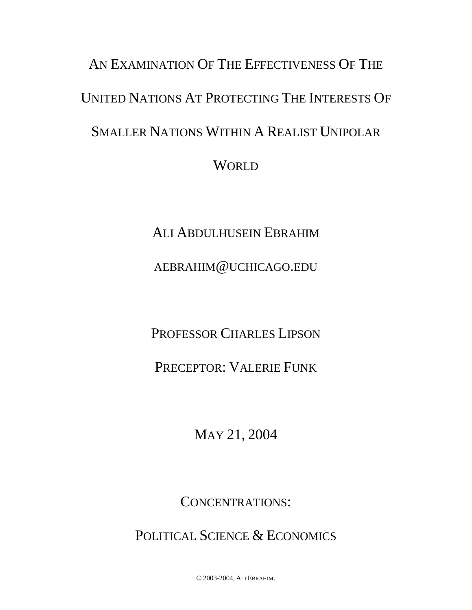# AN EXAMINATION OF THE EFFECTIVENESS OF THE UNITED NATIONS AT PROTECTING THE INTERESTS OF SMALLER NATIONS WITHIN A REALIST UNIPOLAR **WORLD**

ALI ABDULHUSEIN EBRAHIM

AEBRAHIM@UCHICAGO.EDU

PROFESSOR CHARLES LIPSON

PRECEPTOR: VALERIE FUNK

MAY 21, 2004

CONCENTRATIONS:

POLITICAL SCIENCE & ECONOMICS

© 2003-2004, ALI EBRAHIM.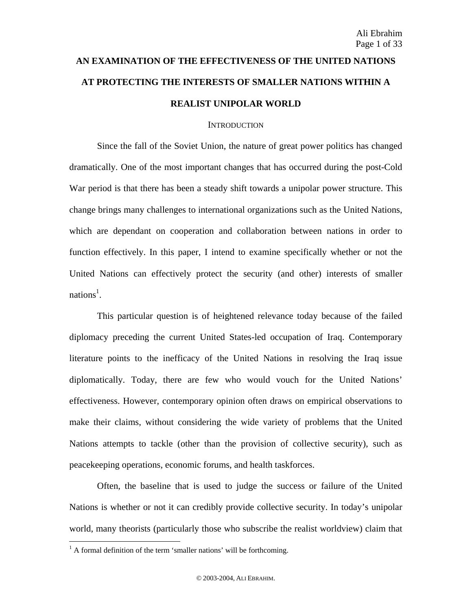# **AN EXAMINATION OF THE EFFECTIVENESS OF THE UNITED NATIONS AT PROTECTING THE INTERESTS OF SMALLER NATIONS WITHIN A REALIST UNIPOLAR WORLD**

# **INTRODUCTION**

Since the fall of the Soviet Union, the nature of great power politics has changed dramatically. One of the most important changes that has occurred during the post-Cold War period is that there has been a steady shift towards a unipolar power structure. This change brings many challenges to international organizations such as the United Nations, which are dependant on cooperation and collaboration between nations in order to function effectively. In this paper, I intend to examine specifically whether or not the United Nations can effectively protect the security (and other) interests of smaller nations<sup>1</sup>.

This particular question is of heightened relevance today because of the failed diplomacy preceding the current United States-led occupation of Iraq. Contemporary literature points to the inefficacy of the United Nations in resolving the Iraq issue diplomatically. Today, there are few who would vouch for the United Nations' effectiveness. However, contemporary opinion often draws on empirical observations to make their claims, without considering the wide variety of problems that the United Nations attempts to tackle (other than the provision of collective security), such as peacekeeping operations, economic forums, and health taskforces.

Often, the baseline that is used to judge the success or failure of the United Nations is whether or not it can credibly provide collective security. In today's unipolar world, many theorists (particularly those who subscribe the realist worldview) claim that

<u>.</u>

 $<sup>1</sup>$  A formal definition of the term 'smaller nations' will be forthcoming.</sup>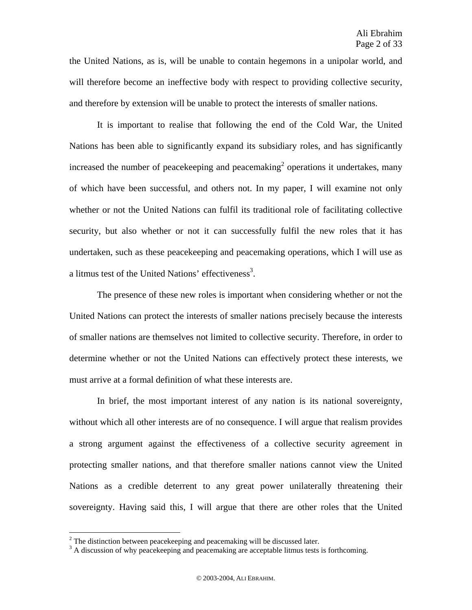the United Nations, as is, will be unable to contain hegemons in a unipolar world, and will therefore become an ineffective body with respect to providing collective security, and therefore by extension will be unable to protect the interests of smaller nations.

It is important to realise that following the end of the Cold War, the United Nations has been able to significantly expand its subsidiary roles, and has significantly increased the number of peacekeeping and peacemaking<sup>2</sup> operations it undertakes, many of which have been successful, and others not. In my paper, I will examine not only whether or not the United Nations can fulfil its traditional role of facilitating collective security, but also whether or not it can successfully fulfil the new roles that it has undertaken, such as these peacekeeping and peacemaking operations, which I will use as a litmus test of the United Nations' effectiveness<sup>3</sup>.

The presence of these new roles is important when considering whether or not the United Nations can protect the interests of smaller nations precisely because the interests of smaller nations are themselves not limited to collective security. Therefore, in order to determine whether or not the United Nations can effectively protect these interests, we must arrive at a formal definition of what these interests are.

In brief, the most important interest of any nation is its national sovereignty, without which all other interests are of no consequence. I will argue that realism provides a strong argument against the effectiveness of a collective security agreement in protecting smaller nations, and that therefore smaller nations cannot view the United Nations as a credible deterrent to any great power unilaterally threatening their sovereignty. Having said this, I will argue that there are other roles that the United

1

 $^{2}$  The distinction between peacekeeping and peacemaking will be discussed later.

<sup>&</sup>lt;sup>3</sup> A discussion of why peacekeeping and peacemaking are acceptable litmus tests is forthcoming.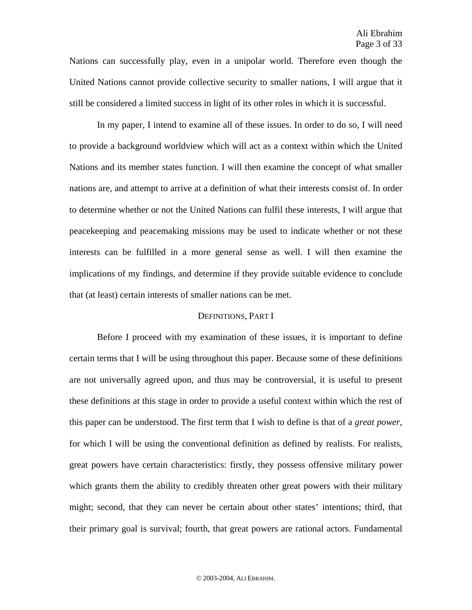Nations can successfully play, even in a unipolar world. Therefore even though the United Nations cannot provide collective security to smaller nations, I will argue that it still be considered a limited success in light of its other roles in which it is successful.

In my paper, I intend to examine all of these issues. In order to do so, I will need to provide a background worldview which will act as a context within which the United Nations and its member states function. I will then examine the concept of what smaller nations are, and attempt to arrive at a definition of what their interests consist of. In order to determine whether or not the United Nations can fulfil these interests, I will argue that peacekeeping and peacemaking missions may be used to indicate whether or not these interests can be fulfilled in a more general sense as well. I will then examine the implications of my findings, and determine if they provide suitable evidence to conclude that (at least) certain interests of smaller nations can be met.

# DEFINITIONS, PART I

Before I proceed with my examination of these issues, it is important to define certain terms that I will be using throughout this paper. Because some of these definitions are not universally agreed upon, and thus may be controversial, it is useful to present these definitions at this stage in order to provide a useful context within which the rest of this paper can be understood. The first term that I wish to define is that of a *great power,*  for which I will be using the conventional definition as defined by realists. For realists, great powers have certain characteristics: firstly, they possess offensive military power which grants them the ability to credibly threaten other great powers with their military might; second, that they can never be certain about other states' intentions; third, that their primary goal is survival; fourth, that great powers are rational actors. Fundamental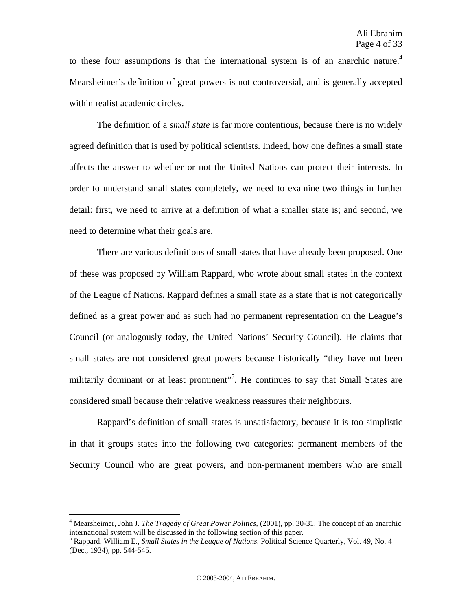to these four assumptions is that the international system is of an anarchic nature.<sup>4</sup> Mearsheimer's definition of great powers is not controversial, and is generally accepted within realist academic circles.

The definition of a *small state* is far more contentious, because there is no widely agreed definition that is used by political scientists. Indeed, how one defines a small state affects the answer to whether or not the United Nations can protect their interests. In order to understand small states completely, we need to examine two things in further detail: first, we need to arrive at a definition of what a smaller state is; and second, we need to determine what their goals are.

There are various definitions of small states that have already been proposed. One of these was proposed by William Rappard, who wrote about small states in the context of the League of Nations. Rappard defines a small state as a state that is not categorically defined as a great power and as such had no permanent representation on the League's Council (or analogously today, the United Nations' Security Council). He claims that small states are not considered great powers because historically "they have not been militarily dominant or at least prominent"<sup>5</sup>. He continues to say that Small States are considered small because their relative weakness reassures their neighbours.

Rappard's definition of small states is unsatisfactory, because it is too simplistic in that it groups states into the following two categories: permanent members of the Security Council who are great powers, and non-permanent members who are small

<sup>4</sup> Mearsheimer, John J. *The Tragedy of Great Power Politics,* (2001), pp. 30-31. The concept of an anarchic international system will be discussed in the following section of this paper.

<sup>5</sup> Rappard, William E., *Small States in the League of Nations*. Political Science Quarterly, Vol. 49, No. 4 (Dec., 1934), pp. 544-545.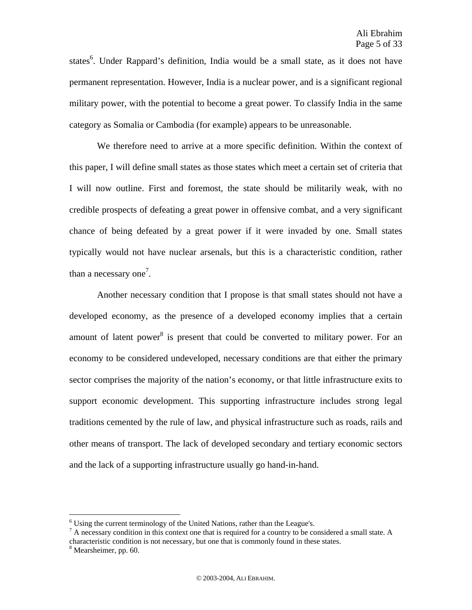states<sup>6</sup>. Under Rappard's definition, India would be a small state, as it does not have permanent representation. However, India is a nuclear power, and is a significant regional military power, with the potential to become a great power. To classify India in the same category as Somalia or Cambodia (for example) appears to be unreasonable.

We therefore need to arrive at a more specific definition. Within the context of this paper, I will define small states as those states which meet a certain set of criteria that I will now outline. First and foremost, the state should be militarily weak, with no credible prospects of defeating a great power in offensive combat, and a very significant chance of being defeated by a great power if it were invaded by one. Small states typically would not have nuclear arsenals, but this is a characteristic condition, rather than a necessary one<sup>7</sup>.

Another necessary condition that I propose is that small states should not have a developed economy, as the presence of a developed economy implies that a certain amount of latent power $^{8}$  is present that could be converted to military power. For an economy to be considered undeveloped, necessary conditions are that either the primary sector comprises the majority of the nation's economy, or that little infrastructure exits to support economic development. This supporting infrastructure includes strong legal traditions cemented by the rule of law, and physical infrastructure such as roads, rails and other means of transport. The lack of developed secondary and tertiary economic sectors and the lack of a supporting infrastructure usually go hand-in-hand.

<u>.</u>

 $6$  Using the current terminology of the United Nations, rather than the League's.

<sup>&</sup>lt;sup>7</sup> A necessary condition in this context one that is required for a country to be considered a small state. A characteristic condition is not necessary, but one that is commonly found in these states.

<sup>&</sup>lt;sup>8</sup> Mearsheimer, pp. 60.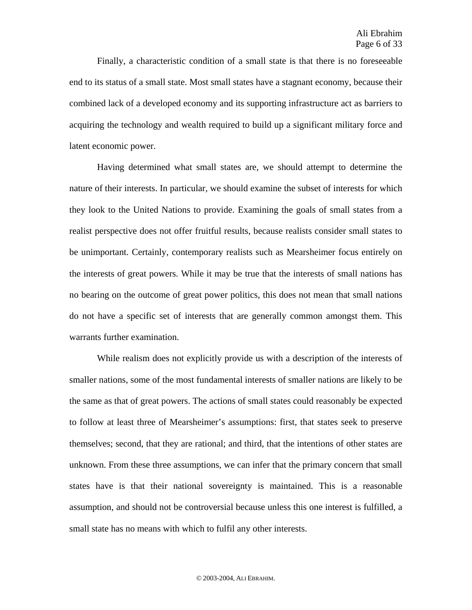Finally, a characteristic condition of a small state is that there is no foreseeable end to its status of a small state. Most small states have a stagnant economy, because their combined lack of a developed economy and its supporting infrastructure act as barriers to acquiring the technology and wealth required to build up a significant military force and latent economic power.

Having determined what small states are, we should attempt to determine the nature of their interests. In particular, we should examine the subset of interests for which they look to the United Nations to provide. Examining the goals of small states from a realist perspective does not offer fruitful results, because realists consider small states to be unimportant. Certainly, contemporary realists such as Mearsheimer focus entirely on the interests of great powers. While it may be true that the interests of small nations has no bearing on the outcome of great power politics, this does not mean that small nations do not have a specific set of interests that are generally common amongst them. This warrants further examination.

While realism does not explicitly provide us with a description of the interests of smaller nations, some of the most fundamental interests of smaller nations are likely to be the same as that of great powers. The actions of small states could reasonably be expected to follow at least three of Mearsheimer's assumptions: first, that states seek to preserve themselves; second, that they are rational; and third, that the intentions of other states are unknown. From these three assumptions, we can infer that the primary concern that small states have is that their national sovereignty is maintained. This is a reasonable assumption, and should not be controversial because unless this one interest is fulfilled, a small state has no means with which to fulfil any other interests.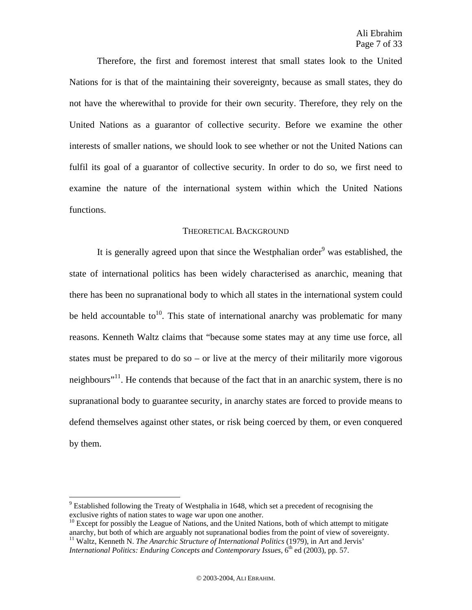Therefore, the first and foremost interest that small states look to the United Nations for is that of the maintaining their sovereignty, because as small states, they do not have the wherewithal to provide for their own security. Therefore, they rely on the United Nations as a guarantor of collective security. Before we examine the other interests of smaller nations, we should look to see whether or not the United Nations can fulfil its goal of a guarantor of collective security. In order to do so, we first need to examine the nature of the international system within which the United Nations functions.

# THEORETICAL BACKGROUND

It is generally agreed upon that since the Westphalian order<sup>9</sup> was established, the state of international politics has been widely characterised as anarchic, meaning that there has been no supranational body to which all states in the international system could be held accountable to<sup>10</sup>. This state of international anarchy was problematic for many reasons. Kenneth Waltz claims that "because some states may at any time use force, all states must be prepared to do so – or live at the mercy of their militarily more vigorous neighbours<sup> $11$ </sup>. He contends that because of the fact that in an anarchic system, there is no supranational body to guarantee security, in anarchy states are forced to provide means to defend themselves against other states, or risk being coerced by them, or even conquered by them.

1

 $9$  Established following the Treaty of Westphalia in 1648, which set a precedent of recognising the exclusive rights of nation states to wage war upon one another.

 $10$  Except for possibly the League of Nations, and the United Nations, both of which attempt to mitigate anarchy, but both of which are arguably not supranational bodies from the point of view of sovereignty. <sup>11</sup> Waltz, Kenneth N. *The Anarchic Structure of International Politics* (1979), in Art and Jervis' *International Politics: Enduring Concepts and Contemporary Issues,* 6<sup>th</sup> ed (2003), pp. 57.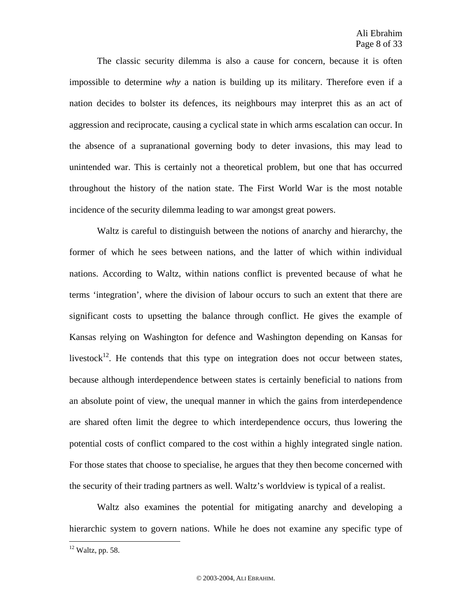The classic security dilemma is also a cause for concern, because it is often impossible to determine *why* a nation is building up its military. Therefore even if a nation decides to bolster its defences, its neighbours may interpret this as an act of aggression and reciprocate, causing a cyclical state in which arms escalation can occur. In the absence of a supranational governing body to deter invasions, this may lead to unintended war. This is certainly not a theoretical problem, but one that has occurred throughout the history of the nation state. The First World War is the most notable incidence of the security dilemma leading to war amongst great powers.

Waltz is careful to distinguish between the notions of anarchy and hierarchy, the former of which he sees between nations, and the latter of which within individual nations. According to Waltz, within nations conflict is prevented because of what he terms 'integration', where the division of labour occurs to such an extent that there are significant costs to upsetting the balance through conflict. He gives the example of Kansas relying on Washington for defence and Washington depending on Kansas for livestock<sup>12</sup>. He contends that this type on integration does not occur between states, because although interdependence between states is certainly beneficial to nations from an absolute point of view, the unequal manner in which the gains from interdependence are shared often limit the degree to which interdependence occurs, thus lowering the potential costs of conflict compared to the cost within a highly integrated single nation. For those states that choose to specialise, he argues that they then become concerned with the security of their trading partners as well. Waltz's worldview is typical of a realist.

Waltz also examines the potential for mitigating anarchy and developing a hierarchic system to govern nations. While he does not examine any specific type of

<u>.</u>

 $12$  Waltz, pp. 58.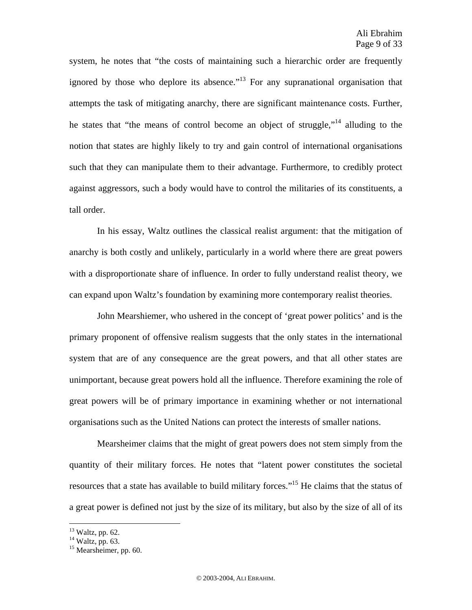system, he notes that "the costs of maintaining such a hierarchic order are frequently ignored by those who deplore its absence."<sup>13</sup> For any supranational organisation that attempts the task of mitigating anarchy, there are significant maintenance costs. Further, he states that "the means of control become an object of struggle,"14 alluding to the notion that states are highly likely to try and gain control of international organisations such that they can manipulate them to their advantage. Furthermore, to credibly protect against aggressors, such a body would have to control the militaries of its constituents, a tall order.

In his essay, Waltz outlines the classical realist argument: that the mitigation of anarchy is both costly and unlikely, particularly in a world where there are great powers with a disproportionate share of influence. In order to fully understand realist theory, we can expand upon Waltz's foundation by examining more contemporary realist theories.

John Mearshiemer, who ushered in the concept of 'great power politics' and is the primary proponent of offensive realism suggests that the only states in the international system that are of any consequence are the great powers, and that all other states are unimportant, because great powers hold all the influence. Therefore examining the role of great powers will be of primary importance in examining whether or not international organisations such as the United Nations can protect the interests of smaller nations.

Mearsheimer claims that the might of great powers does not stem simply from the quantity of their military forces. He notes that "latent power constitutes the societal resources that a state has available to build military forces."15 He claims that the status of a great power is defined not just by the size of its military, but also by the size of all of its

 $13$  Waltz, pp. 62.

<sup>&</sup>lt;sup>14</sup> Waltz, pp. 63.

<sup>&</sup>lt;sup>15</sup> Mearsheimer, pp. 60.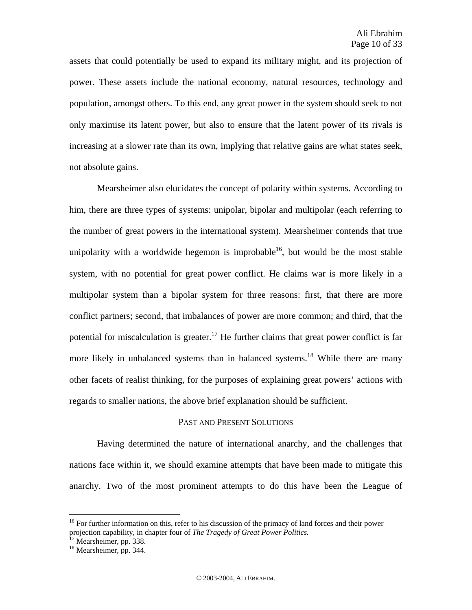assets that could potentially be used to expand its military might, and its projection of power. These assets include the national economy, natural resources, technology and population, amongst others. To this end, any great power in the system should seek to not only maximise its latent power, but also to ensure that the latent power of its rivals is increasing at a slower rate than its own, implying that relative gains are what states seek, not absolute gains.

Mearsheimer also elucidates the concept of polarity within systems. According to him, there are three types of systems: unipolar, bipolar and multipolar (each referring to the number of great powers in the international system). Mearsheimer contends that true unipolarity with a worldwide hegemon is improbable<sup>16</sup>, but would be the most stable system, with no potential for great power conflict. He claims war is more likely in a multipolar system than a bipolar system for three reasons: first, that there are more conflict partners; second, that imbalances of power are more common; and third, that the potential for miscalculation is greater.<sup>17</sup> He further claims that great power conflict is far more likely in unbalanced systems than in balanced systems.<sup>18</sup> While there are many other facets of realist thinking, for the purposes of explaining great powers' actions with regards to smaller nations, the above brief explanation should be sufficient.

# PAST AND PRESENT SOLUTIONS

Having determined the nature of international anarchy, and the challenges that nations face within it, we should examine attempts that have been made to mitigate this anarchy. Two of the most prominent attempts to do this have been the League of

<u>.</u>

<sup>&</sup>lt;sup>16</sup> For further information on this, refer to his discussion of the primacy of land forces and their power projection capability, in chapter four of *The Tragedy of Great Power Politics.* 17 Mearsheimer, pp. 338.

<sup>&</sup>lt;sup>18</sup> Mearsheimer, pp. 344.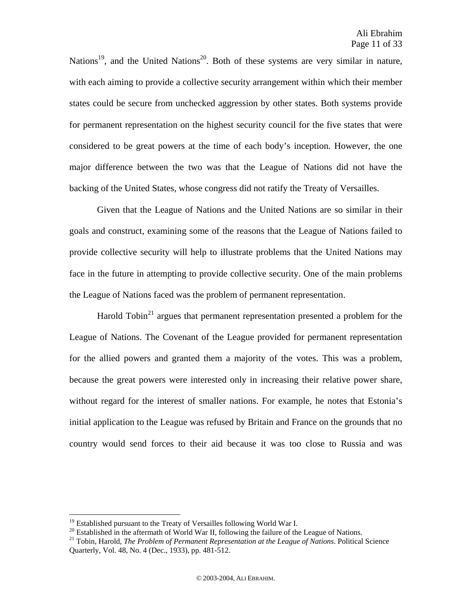Nations<sup>19</sup>, and the United Nations<sup>20</sup>. Both of these systems are very similar in nature, with each aiming to provide a collective security arrangement within which their member states could be secure from unchecked aggression by other states. Both systems provide for permanent representation on the highest security council for the five states that were considered to be great powers at the time of each body's inception. However, the one major difference between the two was that the League of Nations did not have the backing of the United States, whose congress did not ratify the Treaty of Versailles.

Given that the League of Nations and the United Nations are so similar in their goals and construct, examining some of the reasons that the League of Nations failed to provide collective security will help to illustrate problems that the United Nations may face in the future in attempting to provide collective security. One of the main problems the League of Nations faced was the problem of permanent representation.

Harold Tobin<sup>21</sup> argues that permanent representation presented a problem for the League of Nations. The Covenant of the League provided for permanent representation for the allied powers and granted them a majority of the votes. This was a problem, because the great powers were interested only in increasing their relative power share, without regard for the interest of smaller nations. For example, he notes that Estonia's initial application to the League was refused by Britain and France on the grounds that no country would send forces to their aid because it was too close to Russia and was

 $19$  Established pursuant to the Treaty of Versailles following World War I.

<sup>&</sup>lt;sup>20</sup> Established in the aftermath of World War II, following the failure of the League of Nations.<br><sup>21</sup> Tobin, Harold, *The Problem of Permanent Representation at the League of Nations*. Political Science Quarterly, Vol. 48, No. 4 (Dec., 1933), pp. 481-512.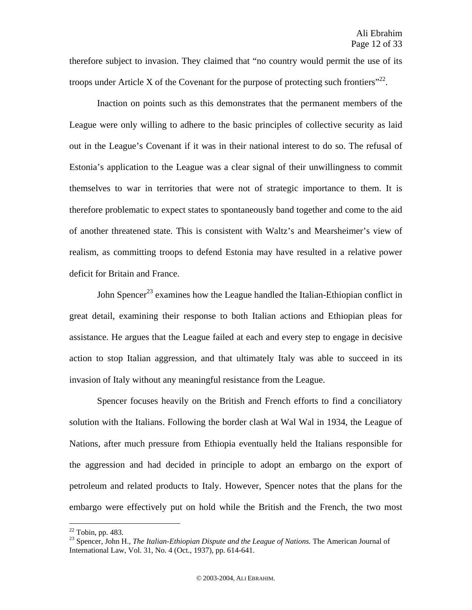therefore subject to invasion. They claimed that "no country would permit the use of its troops under Article X of the Covenant for the purpose of protecting such frontiers"<sup>22</sup>.

Inaction on points such as this demonstrates that the permanent members of the League were only willing to adhere to the basic principles of collective security as laid out in the League's Covenant if it was in their national interest to do so. The refusal of Estonia's application to the League was a clear signal of their unwillingness to commit themselves to war in territories that were not of strategic importance to them. It is therefore problematic to expect states to spontaneously band together and come to the aid of another threatened state. This is consistent with Waltz's and Mearsheimer's view of realism, as committing troops to defend Estonia may have resulted in a relative power deficit for Britain and France.

John Spencer<sup>23</sup> examines how the League handled the Italian-Ethiopian conflict in great detail, examining their response to both Italian actions and Ethiopian pleas for assistance. He argues that the League failed at each and every step to engage in decisive action to stop Italian aggression, and that ultimately Italy was able to succeed in its invasion of Italy without any meaningful resistance from the League.

Spencer focuses heavily on the British and French efforts to find a conciliatory solution with the Italians. Following the border clash at Wal Wal in 1934, the League of Nations, after much pressure from Ethiopia eventually held the Italians responsible for the aggression and had decided in principle to adopt an embargo on the export of petroleum and related products to Italy. However, Spencer notes that the plans for the embargo were effectively put on hold while the British and the French, the two most

 $22$  Tobin, pp. 483.

<sup>23</sup> Spencer, John H., *The Italian-Ethiopian Dispute and the League of Nations.* The American Journal of International Law, Vol. 31, No. 4 (Oct., 1937), pp. 614-641.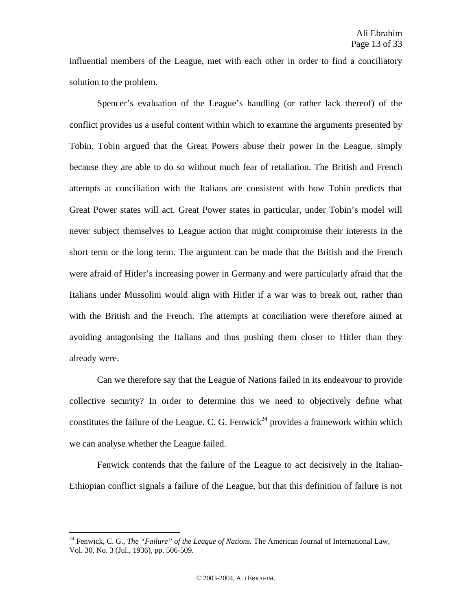influential members of the League, met with each other in order to find a conciliatory solution to the problem.

Spencer's evaluation of the League's handling (or rather lack thereof) of the conflict provides us a useful content within which to examine the arguments presented by Tobin. Tobin argued that the Great Powers abuse their power in the League, simply because they are able to do so without much fear of retaliation. The British and French attempts at conciliation with the Italians are consistent with how Tobin predicts that Great Power states will act. Great Power states in particular, under Tobin's model will never subject themselves to League action that might compromise their interests in the short term or the long term. The argument can be made that the British and the French were afraid of Hitler's increasing power in Germany and were particularly afraid that the Italians under Mussolini would align with Hitler if a war was to break out, rather than with the British and the French. The attempts at conciliation were therefore aimed at avoiding antagonising the Italians and thus pushing them closer to Hitler than they already were.

Can we therefore say that the League of Nations failed in its endeavour to provide collective security? In order to determine this we need to objectively define what constitutes the failure of the League. C. G. Fenwick<sup>24</sup> provides a framework within which we can analyse whether the League failed.

Fenwick contends that the failure of the League to act decisively in the Italian-Ethiopian conflict signals a failure of the League, but that this definition of failure is not

<sup>&</sup>lt;sup>24</sup> Fenwick, C. G., *The "Failure" of the League of Nations*. The American Journal of International Law, Vol. 30, No. 3 (Jul., 1936), pp. 506-509.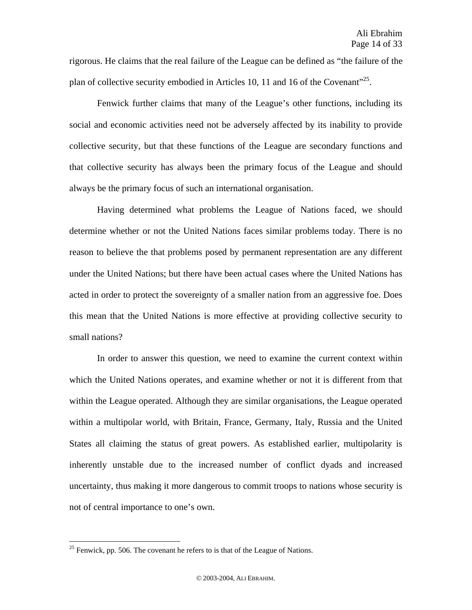rigorous. He claims that the real failure of the League can be defined as "the failure of the plan of collective security embodied in Articles 10, 11 and 16 of the Covenant"<sup>25</sup>.

Fenwick further claims that many of the League's other functions, including its social and economic activities need not be adversely affected by its inability to provide collective security, but that these functions of the League are secondary functions and that collective security has always been the primary focus of the League and should always be the primary focus of such an international organisation.

Having determined what problems the League of Nations faced, we should determine whether or not the United Nations faces similar problems today. There is no reason to believe the that problems posed by permanent representation are any different under the United Nations; but there have been actual cases where the United Nations has acted in order to protect the sovereignty of a smaller nation from an aggressive foe. Does this mean that the United Nations is more effective at providing collective security to small nations?

In order to answer this question, we need to examine the current context within which the United Nations operates, and examine whether or not it is different from that within the League operated. Although they are similar organisations, the League operated within a multipolar world, with Britain, France, Germany, Italy, Russia and the United States all claiming the status of great powers. As established earlier, multipolarity is inherently unstable due to the increased number of conflict dyads and increased uncertainty, thus making it more dangerous to commit troops to nations whose security is not of central importance to one's own.

 $25$  Fenwick, pp. 506. The covenant he refers to is that of the League of Nations.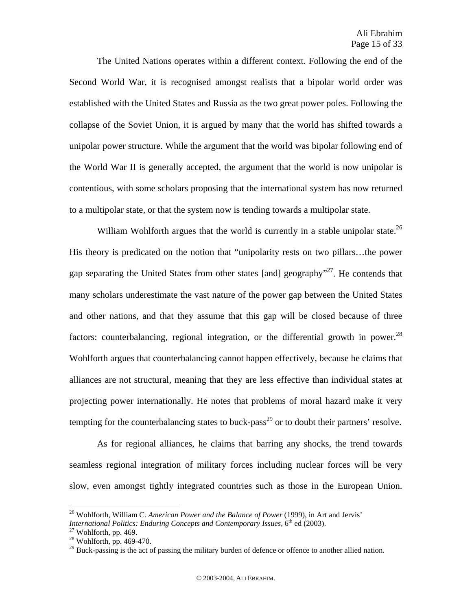The United Nations operates within a different context. Following the end of the Second World War, it is recognised amongst realists that a bipolar world order was established with the United States and Russia as the two great power poles. Following the collapse of the Soviet Union, it is argued by many that the world has shifted towards a unipolar power structure. While the argument that the world was bipolar following end of the World War II is generally accepted, the argument that the world is now unipolar is contentious, with some scholars proposing that the international system has now returned to a multipolar state, or that the system now is tending towards a multipolar state.

William Wohlforth argues that the world is currently in a stable unipolar state.<sup>26</sup> His theory is predicated on the notion that "unipolarity rests on two pillars…the power gap separating the United States from other states [and] geography<sup>"27</sup>. He contends that many scholars underestimate the vast nature of the power gap between the United States and other nations, and that they assume that this gap will be closed because of three factors: counterbalancing, regional integration, or the differential growth in power.<sup>28</sup> Wohlforth argues that counterbalancing cannot happen effectively, because he claims that alliances are not structural, meaning that they are less effective than individual states at projecting power internationally. He notes that problems of moral hazard make it very tempting for the counterbalancing states to buck-pass<sup>29</sup> or to doubt their partners' resolve.

As for regional alliances, he claims that barring any shocks, the trend towards seamless regional integration of military forces including nuclear forces will be very slow, even amongst tightly integrated countries such as those in the European Union.

<sup>&</sup>lt;sup>26</sup> Wohlforth, William C. *American Power and the Balance of Power* (1999), in Art and Jervis' *International Politics: Enduring Concepts and Contemporary Issues,*  $6^{th}$  ed (2003).<br><sup>27</sup> Wohlforth, pp. 469.

 $28$  Wohlforth, pp. 469-470.

<sup>&</sup>lt;sup>29</sup> Buck-passing is the act of passing the military burden of defence or offence to another allied nation.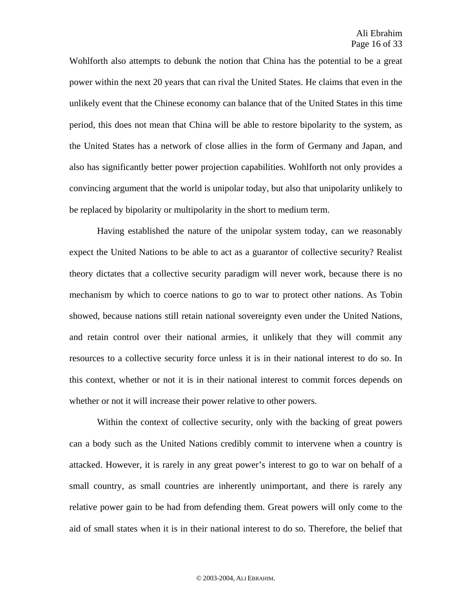Wohlforth also attempts to debunk the notion that China has the potential to be a great power within the next 20 years that can rival the United States. He claims that even in the unlikely event that the Chinese economy can balance that of the United States in this time period, this does not mean that China will be able to restore bipolarity to the system, as the United States has a network of close allies in the form of Germany and Japan, and also has significantly better power projection capabilities. Wohlforth not only provides a convincing argument that the world is unipolar today, but also that unipolarity unlikely to be replaced by bipolarity or multipolarity in the short to medium term.

Having established the nature of the unipolar system today, can we reasonably expect the United Nations to be able to act as a guarantor of collective security? Realist theory dictates that a collective security paradigm will never work, because there is no mechanism by which to coerce nations to go to war to protect other nations. As Tobin showed, because nations still retain national sovereignty even under the United Nations, and retain control over their national armies, it unlikely that they will commit any resources to a collective security force unless it is in their national interest to do so. In this context, whether or not it is in their national interest to commit forces depends on whether or not it will increase their power relative to other powers.

Within the context of collective security, only with the backing of great powers can a body such as the United Nations credibly commit to intervene when a country is attacked. However, it is rarely in any great power's interest to go to war on behalf of a small country, as small countries are inherently unimportant, and there is rarely any relative power gain to be had from defending them. Great powers will only come to the aid of small states when it is in their national interest to do so. Therefore, the belief that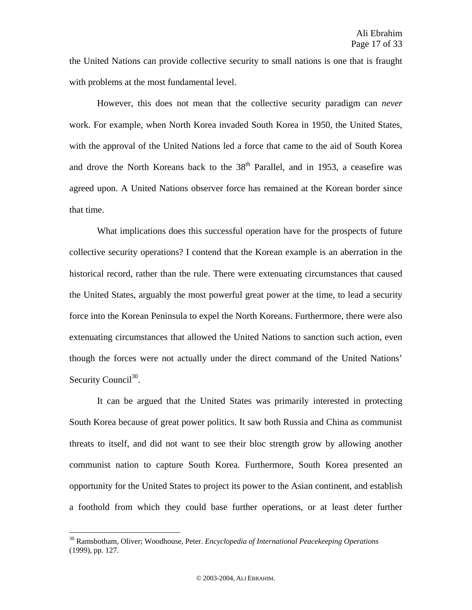the United Nations can provide collective security to small nations is one that is fraught with problems at the most fundamental level.

However, this does not mean that the collective security paradigm can *never* work. For example, when North Korea invaded South Korea in 1950, the United States, with the approval of the United Nations led a force that came to the aid of South Korea and drove the North Koreans back to the 38<sup>th</sup> Parallel, and in 1953, a ceasefire was agreed upon. A United Nations observer force has remained at the Korean border since that time.

What implications does this successful operation have for the prospects of future collective security operations? I contend that the Korean example is an aberration in the historical record, rather than the rule. There were extenuating circumstances that caused the United States, arguably the most powerful great power at the time, to lead a security force into the Korean Peninsula to expel the North Koreans. Furthermore, there were also extenuating circumstances that allowed the United Nations to sanction such action, even though the forces were not actually under the direct command of the United Nations' Security Council<sup>30</sup>.

It can be argued that the United States was primarily interested in protecting South Korea because of great power politics. It saw both Russia and China as communist threats to itself, and did not want to see their bloc strength grow by allowing another communist nation to capture South Korea. Furthermore, South Korea presented an opportunity for the United States to project its power to the Asian continent, and establish a foothold from which they could base further operations, or at least deter further

1

<sup>30</sup> Ramsbotham, Oliver; Woodhouse, Peter. *Encyclopedia of International Peacekeeping Operations*  (1999), pp. 127.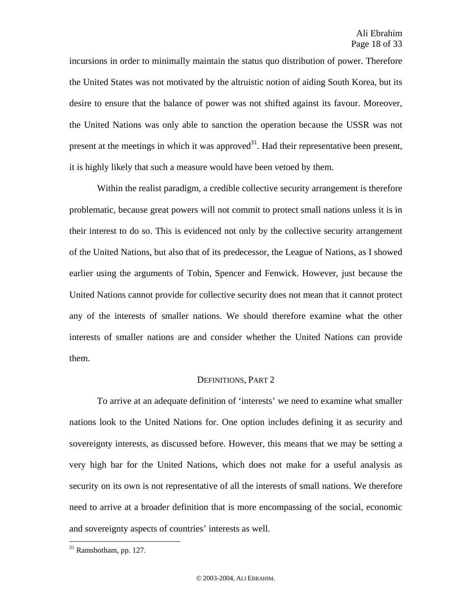incursions in order to minimally maintain the status quo distribution of power. Therefore the United States was not motivated by the altruistic notion of aiding South Korea, but its desire to ensure that the balance of power was not shifted against its favour. Moreover, the United Nations was only able to sanction the operation because the USSR was not present at the meetings in which it was approved<sup>31</sup>. Had their representative been present, it is highly likely that such a measure would have been vetoed by them.

Within the realist paradigm, a credible collective security arrangement is therefore problematic, because great powers will not commit to protect small nations unless it is in their interest to do so. This is evidenced not only by the collective security arrangement of the United Nations, but also that of its predecessor, the League of Nations, as I showed earlier using the arguments of Tobin, Spencer and Fenwick. However, just because the United Nations cannot provide for collective security does not mean that it cannot protect any of the interests of smaller nations. We should therefore examine what the other interests of smaller nations are and consider whether the United Nations can provide them.

### DEFINITIONS, PART 2

To arrive at an adequate definition of 'interests' we need to examine what smaller nations look to the United Nations for. One option includes defining it as security and sovereignty interests, as discussed before. However, this means that we may be setting a very high bar for the United Nations, which does not make for a useful analysis as security on its own is not representative of all the interests of small nations. We therefore need to arrive at a broader definition that is more encompassing of the social, economic and sovereignty aspects of countries' interests as well.

 $31$  Ramsbotham, pp. 127.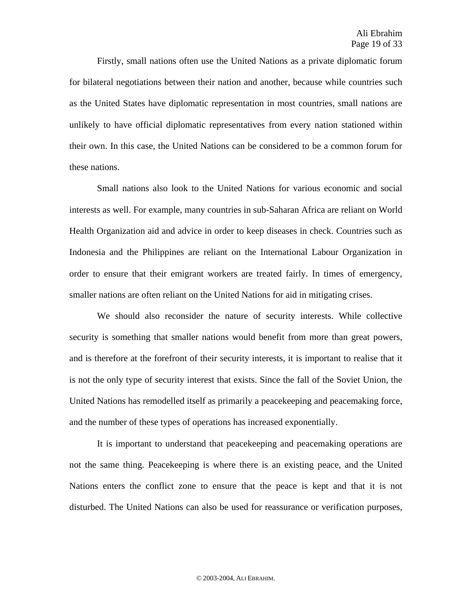Firstly, small nations often use the United Nations as a private diplomatic forum for bilateral negotiations between their nation and another, because while countries such as the United States have diplomatic representation in most countries, small nations are unlikely to have official diplomatic representatives from every nation stationed within their own. In this case, the United Nations can be considered to be a common forum for these nations.

Small nations also look to the United Nations for various economic and social interests as well. For example, many countries in sub-Saharan Africa are reliant on World Health Organization aid and advice in order to keep diseases in check. Countries such as Indonesia and the Philippines are reliant on the International Labour Organization in order to ensure that their emigrant workers are treated fairly. In times of emergency, smaller nations are often reliant on the United Nations for aid in mitigating crises.

We should also reconsider the nature of security interests. While collective security is something that smaller nations would benefit from more than great powers, and is therefore at the forefront of their security interests, it is important to realise that it is not the only type of security interest that exists. Since the fall of the Soviet Union, the United Nations has remodelled itself as primarily a peacekeeping and peacemaking force, and the number of these types of operations has increased exponentially.

It is important to understand that peacekeeping and peacemaking operations are not the same thing. Peacekeeping is where there is an existing peace, and the United Nations enters the conflict zone to ensure that the peace is kept and that it is not disturbed. The United Nations can also be used for reassurance or verification purposes,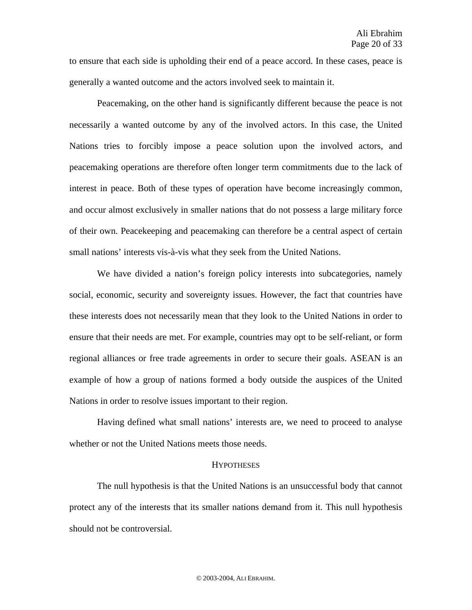to ensure that each side is upholding their end of a peace accord. In these cases, peace is generally a wanted outcome and the actors involved seek to maintain it.

Peacemaking, on the other hand is significantly different because the peace is not necessarily a wanted outcome by any of the involved actors. In this case, the United Nations tries to forcibly impose a peace solution upon the involved actors, and peacemaking operations are therefore often longer term commitments due to the lack of interest in peace. Both of these types of operation have become increasingly common, and occur almost exclusively in smaller nations that do not possess a large military force of their own. Peacekeeping and peacemaking can therefore be a central aspect of certain small nations' interests vis-à-vis what they seek from the United Nations.

We have divided a nation's foreign policy interests into subcategories, namely social, economic, security and sovereignty issues. However, the fact that countries have these interests does not necessarily mean that they look to the United Nations in order to ensure that their needs are met. For example, countries may opt to be self-reliant, or form regional alliances or free trade agreements in order to secure their goals. ASEAN is an example of how a group of nations formed a body outside the auspices of the United Nations in order to resolve issues important to their region.

Having defined what small nations' interests are, we need to proceed to analyse whether or not the United Nations meets those needs.

#### **HYPOTHESES**

The null hypothesis is that the United Nations is an unsuccessful body that cannot protect any of the interests that its smaller nations demand from it. This null hypothesis should not be controversial.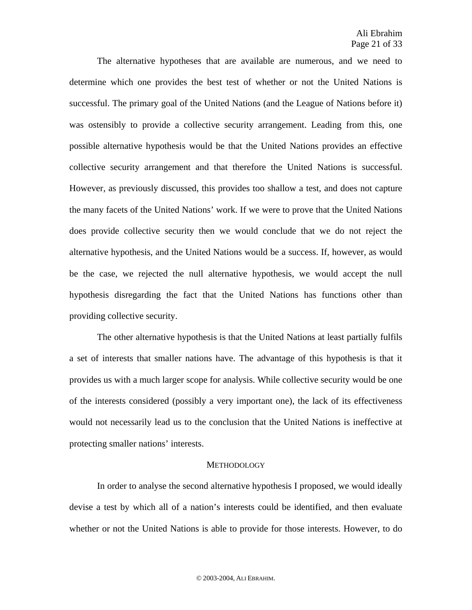The alternative hypotheses that are available are numerous, and we need to determine which one provides the best test of whether or not the United Nations is successful. The primary goal of the United Nations (and the League of Nations before it) was ostensibly to provide a collective security arrangement. Leading from this, one possible alternative hypothesis would be that the United Nations provides an effective collective security arrangement and that therefore the United Nations is successful. However, as previously discussed, this provides too shallow a test, and does not capture the many facets of the United Nations' work. If we were to prove that the United Nations does provide collective security then we would conclude that we do not reject the alternative hypothesis, and the United Nations would be a success. If, however, as would be the case, we rejected the null alternative hypothesis, we would accept the null hypothesis disregarding the fact that the United Nations has functions other than providing collective security.

The other alternative hypothesis is that the United Nations at least partially fulfils a set of interests that smaller nations have. The advantage of this hypothesis is that it provides us with a much larger scope for analysis. While collective security would be one of the interests considered (possibly a very important one), the lack of its effectiveness would not necessarily lead us to the conclusion that the United Nations is ineffective at protecting smaller nations' interests.

#### **METHODOLOGY**

In order to analyse the second alternative hypothesis I proposed, we would ideally devise a test by which all of a nation's interests could be identified, and then evaluate whether or not the United Nations is able to provide for those interests. However, to do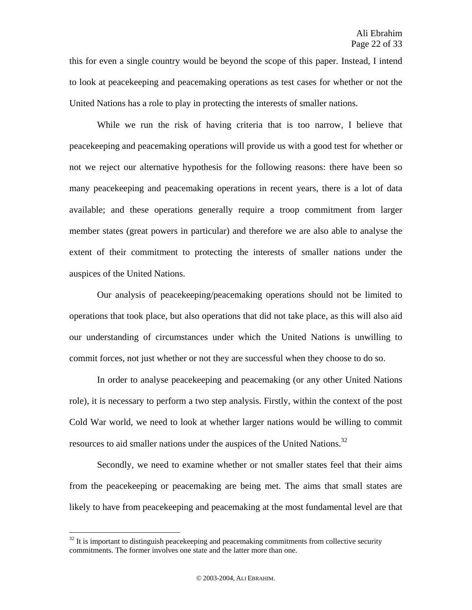this for even a single country would be beyond the scope of this paper. Instead, I intend to look at peacekeeping and peacemaking operations as test cases for whether or not the United Nations has a role to play in protecting the interests of smaller nations.

While we run the risk of having criteria that is too narrow, I believe that peacekeeping and peacemaking operations will provide us with a good test for whether or not we reject our alternative hypothesis for the following reasons: there have been so many peacekeeping and peacemaking operations in recent years, there is a lot of data available; and these operations generally require a troop commitment from larger member states (great powers in particular) and therefore we are also able to analyse the extent of their commitment to protecting the interests of smaller nations under the auspices of the United Nations.

Our analysis of peacekeeping/peacemaking operations should not be limited to operations that took place, but also operations that did not take place, as this will also aid our understanding of circumstances under which the United Nations is unwilling to commit forces, not just whether or not they are successful when they choose to do so.

In order to analyse peacekeeping and peacemaking (or any other United Nations role), it is necessary to perform a two step analysis. Firstly, within the context of the post Cold War world, we need to look at whether larger nations would be willing to commit resources to aid smaller nations under the auspices of the United Nations.<sup>32</sup>

Secondly, we need to examine whether or not smaller states feel that their aims from the peacekeeping or peacemaking are being met. The aims that small states are likely to have from peacekeeping and peacemaking at the most fundamental level are that

 $32$  It is important to distinguish peacekeeping and peacemaking commitments from collective security commitments. The former involves one state and the latter more than one.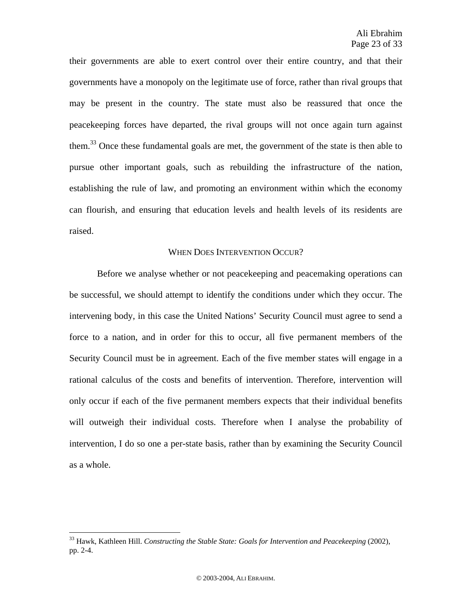their governments are able to exert control over their entire country, and that their governments have a monopoly on the legitimate use of force, rather than rival groups that may be present in the country. The state must also be reassured that once the peacekeeping forces have departed, the rival groups will not once again turn against them.<sup>33</sup> Once these fundamental goals are met, the government of the state is then able to pursue other important goals, such as rebuilding the infrastructure of the nation, establishing the rule of law, and promoting an environment within which the economy can flourish, and ensuring that education levels and health levels of its residents are raised.

# WHEN DOES INTERVENTION OCCUR?

Before we analyse whether or not peacekeeping and peacemaking operations can be successful, we should attempt to identify the conditions under which they occur. The intervening body, in this case the United Nations' Security Council must agree to send a force to a nation, and in order for this to occur, all five permanent members of the Security Council must be in agreement. Each of the five member states will engage in a rational calculus of the costs and benefits of intervention. Therefore, intervention will only occur if each of the five permanent members expects that their individual benefits will outweigh their individual costs. Therefore when I analyse the probability of intervention, I do so one a per-state basis, rather than by examining the Security Council as a whole.

1

<sup>33</sup> Hawk, Kathleen Hill. *Constructing the Stable State: Goals for Intervention and Peacekeeping* (2002), pp. 2-4.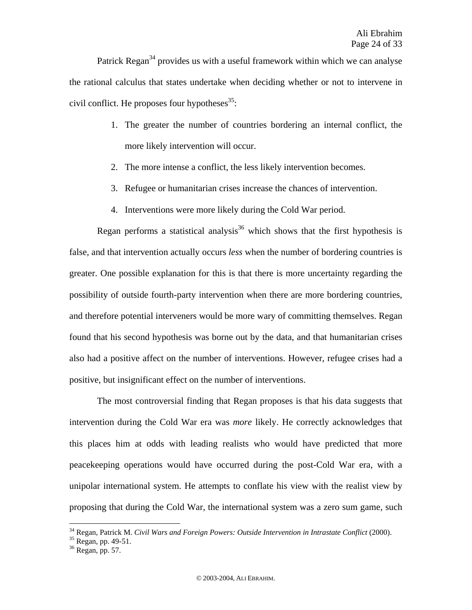Patrick Regan<sup>34</sup> provides us with a useful framework within which we can analyse the rational calculus that states undertake when deciding whether or not to intervene in civil conflict. He proposes four hypotheses $^{35}$ .

- 1. The greater the number of countries bordering an internal conflict, the more likely intervention will occur.
- 2. The more intense a conflict, the less likely intervention becomes.
- 3. Refugee or humanitarian crises increase the chances of intervention.
- 4. Interventions were more likely during the Cold War period.

Regan performs a statistical analysis<sup>36</sup> which shows that the first hypothesis is false, and that intervention actually occurs *less* when the number of bordering countries is greater. One possible explanation for this is that there is more uncertainty regarding the possibility of outside fourth-party intervention when there are more bordering countries, and therefore potential interveners would be more wary of committing themselves. Regan found that his second hypothesis was borne out by the data, and that humanitarian crises also had a positive affect on the number of interventions. However, refugee crises had a positive, but insignificant effect on the number of interventions.

The most controversial finding that Regan proposes is that his data suggests that intervention during the Cold War era was *more* likely. He correctly acknowledges that this places him at odds with leading realists who would have predicted that more peacekeeping operations would have occurred during the post-Cold War era, with a unipolar international system. He attempts to conflate his view with the realist view by proposing that during the Cold War, the international system was a zero sum game, such

<sup>&</sup>lt;sup>34</sup> Regan, Patrick M. *Civil Wars and Foreign Powers: Outside Intervention in Intrastate Conflict* (2000).<br><sup>35</sup> Regan, pp. 49-51.

<sup>36</sup> Regan, pp. 57.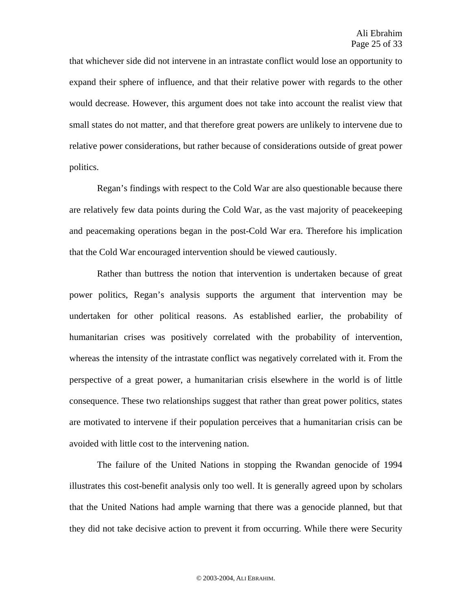that whichever side did not intervene in an intrastate conflict would lose an opportunity to expand their sphere of influence, and that their relative power with regards to the other would decrease. However, this argument does not take into account the realist view that small states do not matter, and that therefore great powers are unlikely to intervene due to relative power considerations, but rather because of considerations outside of great power politics.

Regan's findings with respect to the Cold War are also questionable because there are relatively few data points during the Cold War, as the vast majority of peacekeeping and peacemaking operations began in the post-Cold War era. Therefore his implication that the Cold War encouraged intervention should be viewed cautiously.

Rather than buttress the notion that intervention is undertaken because of great power politics, Regan's analysis supports the argument that intervention may be undertaken for other political reasons. As established earlier, the probability of humanitarian crises was positively correlated with the probability of intervention, whereas the intensity of the intrastate conflict was negatively correlated with it. From the perspective of a great power, a humanitarian crisis elsewhere in the world is of little consequence. These two relationships suggest that rather than great power politics, states are motivated to intervene if their population perceives that a humanitarian crisis can be avoided with little cost to the intervening nation.

The failure of the United Nations in stopping the Rwandan genocide of 1994 illustrates this cost-benefit analysis only too well. It is generally agreed upon by scholars that the United Nations had ample warning that there was a genocide planned, but that they did not take decisive action to prevent it from occurring. While there were Security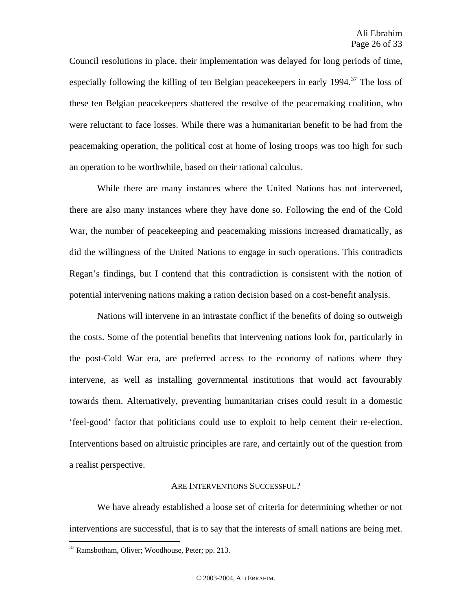Council resolutions in place, their implementation was delayed for long periods of time, especially following the killing of ten Belgian peace keepers in early 1994.<sup>37</sup> The loss of these ten Belgian peacekeepers shattered the resolve of the peacemaking coalition, who were reluctant to face losses. While there was a humanitarian benefit to be had from the peacemaking operation, the political cost at home of losing troops was too high for such an operation to be worthwhile, based on their rational calculus.

While there are many instances where the United Nations has not intervened, there are also many instances where they have done so. Following the end of the Cold War, the number of peacekeeping and peacemaking missions increased dramatically, as did the willingness of the United Nations to engage in such operations. This contradicts Regan's findings, but I contend that this contradiction is consistent with the notion of potential intervening nations making a ration decision based on a cost-benefit analysis.

Nations will intervene in an intrastate conflict if the benefits of doing so outweigh the costs. Some of the potential benefits that intervening nations look for, particularly in the post-Cold War era, are preferred access to the economy of nations where they intervene, as well as installing governmental institutions that would act favourably towards them. Alternatively, preventing humanitarian crises could result in a domestic 'feel-good' factor that politicians could use to exploit to help cement their re-election. Interventions based on altruistic principles are rare, and certainly out of the question from a realist perspective.

#### ARE INTERVENTIONS SUCCESSFUL?

We have already established a loose set of criteria for determining whether or not interventions are successful, that is to say that the interests of small nations are being met.

<sup>37</sup> Ramsbotham, Oliver; Woodhouse, Peter; pp. 213.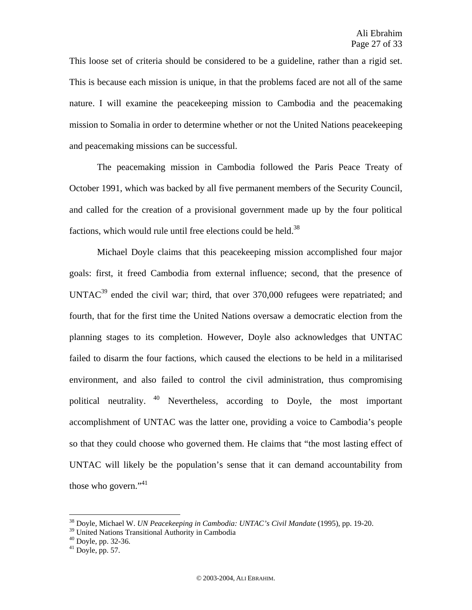This loose set of criteria should be considered to be a guideline, rather than a rigid set. This is because each mission is unique, in that the problems faced are not all of the same nature. I will examine the peacekeeping mission to Cambodia and the peacemaking mission to Somalia in order to determine whether or not the United Nations peacekeeping and peacemaking missions can be successful.

The peacemaking mission in Cambodia followed the Paris Peace Treaty of October 1991, which was backed by all five permanent members of the Security Council, and called for the creation of a provisional government made up by the four political factions, which would rule until free elections could be held.<sup>38</sup>

Michael Doyle claims that this peacekeeping mission accomplished four major goals: first, it freed Cambodia from external influence; second, that the presence of  $UNTAC<sup>39</sup>$  ended the civil war; third, that over 370,000 refugees were repatriated; and fourth, that for the first time the United Nations oversaw a democratic election from the planning stages to its completion. However, Doyle also acknowledges that UNTAC failed to disarm the four factions, which caused the elections to be held in a militarised environment, and also failed to control the civil administration, thus compromising political neutrality. 40 Nevertheless, according to Doyle, the most important accomplishment of UNTAC was the latter one, providing a voice to Cambodia's people so that they could choose who governed them. He claims that "the most lasting effect of UNTAC will likely be the population's sense that it can demand accountability from those who govern."<sup>41</sup>

<sup>38</sup> Doyle, Michael W. *UN Peacekeeping in Cambodia: UNTAC's Civil Mandate* (1995), pp. 19-20.

<sup>&</sup>lt;sup>39</sup> United Nations Transitional Authority in Cambodia

 $40$  Doyle, pp. 32-36.

 $41$  Doyle, pp. 57.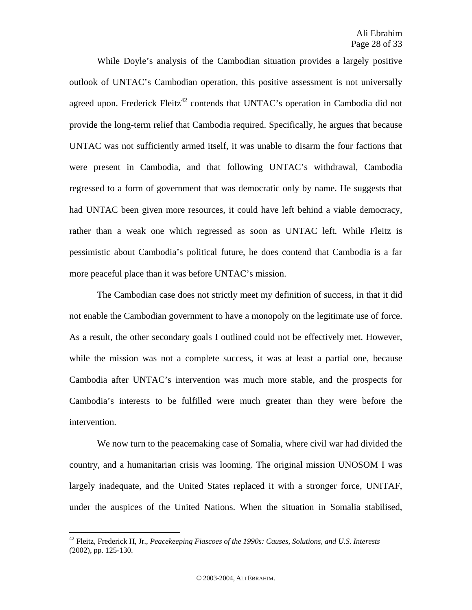While Doyle's analysis of the Cambodian situation provides a largely positive outlook of UNTAC's Cambodian operation, this positive assessment is not universally agreed upon. Frederick Fleitz<sup>42</sup> contends that UNTAC's operation in Cambodia did not provide the long-term relief that Cambodia required. Specifically, he argues that because UNTAC was not sufficiently armed itself, it was unable to disarm the four factions that were present in Cambodia, and that following UNTAC's withdrawal, Cambodia regressed to a form of government that was democratic only by name. He suggests that had UNTAC been given more resources, it could have left behind a viable democracy, rather than a weak one which regressed as soon as UNTAC left. While Fleitz is pessimistic about Cambodia's political future, he does contend that Cambodia is a far more peaceful place than it was before UNTAC's mission.

The Cambodian case does not strictly meet my definition of success, in that it did not enable the Cambodian government to have a monopoly on the legitimate use of force. As a result, the other secondary goals I outlined could not be effectively met. However, while the mission was not a complete success, it was at least a partial one, because Cambodia after UNTAC's intervention was much more stable, and the prospects for Cambodia's interests to be fulfilled were much greater than they were before the intervention.

We now turn to the peacemaking case of Somalia, where civil war had divided the country, and a humanitarian crisis was looming. The original mission UNOSOM I was largely inadequate, and the United States replaced it with a stronger force, UNITAF, under the auspices of the United Nations. When the situation in Somalia stabilised,

1

<sup>42</sup> Fleitz, Frederick H, Jr., *Peacekeeping Fiascoes of the 1990s: Causes, Solutions, and U.S. Interests* (2002), pp. 125-130.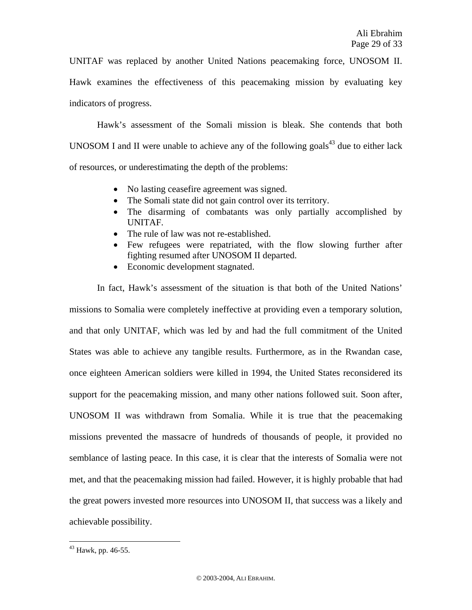UNITAF was replaced by another United Nations peacemaking force, UNOSOM II. Hawk examines the effectiveness of this peacemaking mission by evaluating key indicators of progress.

Hawk's assessment of the Somali mission is bleak. She contends that both UNOSOM I and II were unable to achieve any of the following goals<sup>43</sup> due to either lack of resources, or underestimating the depth of the problems:

- No lasting ceasefire agreement was signed.
- The Somali state did not gain control over its territory.
- The disarming of combatants was only partially accomplished by UNITAF.
- The rule of law was not re-established.
- Few refugees were repatriated, with the flow slowing further after fighting resumed after UNOSOM II departed.
- Economic development stagnated.

In fact, Hawk's assessment of the situation is that both of the United Nations' missions to Somalia were completely ineffective at providing even a temporary solution, and that only UNITAF, which was led by and had the full commitment of the United States was able to achieve any tangible results. Furthermore, as in the Rwandan case, once eighteen American soldiers were killed in 1994, the United States reconsidered its support for the peacemaking mission, and many other nations followed suit. Soon after, UNOSOM II was withdrawn from Somalia. While it is true that the peacemaking missions prevented the massacre of hundreds of thousands of people, it provided no semblance of lasting peace. In this case, it is clear that the interests of Somalia were not met, and that the peacemaking mission had failed. However, it is highly probable that had the great powers invested more resources into UNOSOM II, that success was a likely and achievable possibility.

 $43$  Hawk, pp. 46-55.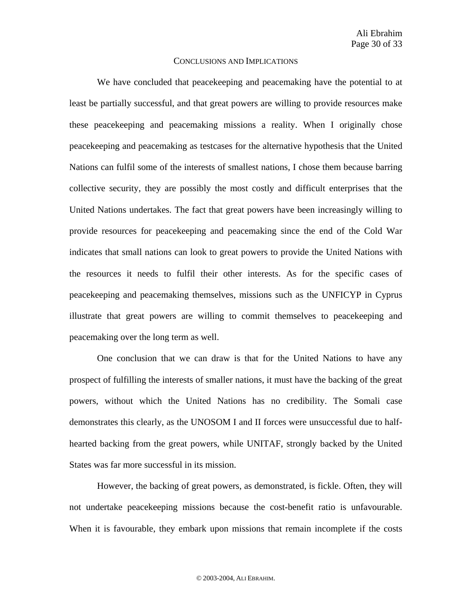#### CONCLUSIONS AND IMPLICATIONS

We have concluded that peacekeeping and peacemaking have the potential to at least be partially successful, and that great powers are willing to provide resources make these peacekeeping and peacemaking missions a reality. When I originally chose peacekeeping and peacemaking as testcases for the alternative hypothesis that the United Nations can fulfil some of the interests of smallest nations, I chose them because barring collective security, they are possibly the most costly and difficult enterprises that the United Nations undertakes. The fact that great powers have been increasingly willing to provide resources for peacekeeping and peacemaking since the end of the Cold War indicates that small nations can look to great powers to provide the United Nations with the resources it needs to fulfil their other interests. As for the specific cases of peacekeeping and peacemaking themselves, missions such as the UNFICYP in Cyprus illustrate that great powers are willing to commit themselves to peacekeeping and peacemaking over the long term as well.

One conclusion that we can draw is that for the United Nations to have any prospect of fulfilling the interests of smaller nations, it must have the backing of the great powers, without which the United Nations has no credibility. The Somali case demonstrates this clearly, as the UNOSOM I and II forces were unsuccessful due to halfhearted backing from the great powers, while UNITAF, strongly backed by the United States was far more successful in its mission.

However, the backing of great powers, as demonstrated, is fickle. Often, they will not undertake peacekeeping missions because the cost-benefit ratio is unfavourable. When it is favourable, they embark upon missions that remain incomplete if the costs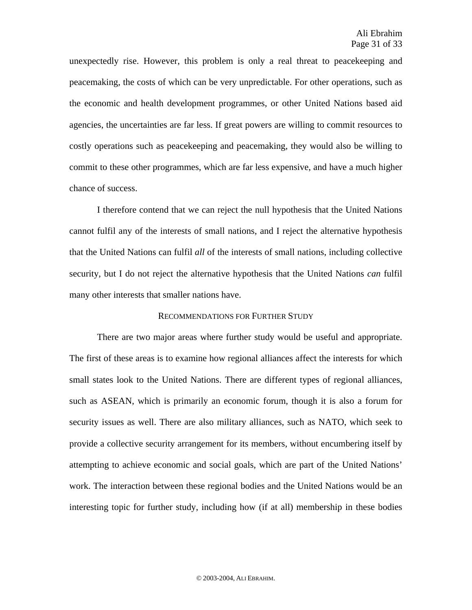unexpectedly rise. However, this problem is only a real threat to peacekeeping and peacemaking, the costs of which can be very unpredictable. For other operations, such as the economic and health development programmes, or other United Nations based aid agencies, the uncertainties are far less. If great powers are willing to commit resources to costly operations such as peacekeeping and peacemaking, they would also be willing to commit to these other programmes, which are far less expensive, and have a much higher chance of success.

I therefore contend that we can reject the null hypothesis that the United Nations cannot fulfil any of the interests of small nations, and I reject the alternative hypothesis that the United Nations can fulfil *all* of the interests of small nations, including collective security, but I do not reject the alternative hypothesis that the United Nations *can* fulfil many other interests that smaller nations have.

# RECOMMENDATIONS FOR FURTHER STUDY

There are two major areas where further study would be useful and appropriate. The first of these areas is to examine how regional alliances affect the interests for which small states look to the United Nations. There are different types of regional alliances, such as ASEAN, which is primarily an economic forum, though it is also a forum for security issues as well. There are also military alliances, such as NATO, which seek to provide a collective security arrangement for its members, without encumbering itself by attempting to achieve economic and social goals, which are part of the United Nations' work. The interaction between these regional bodies and the United Nations would be an interesting topic for further study, including how (if at all) membership in these bodies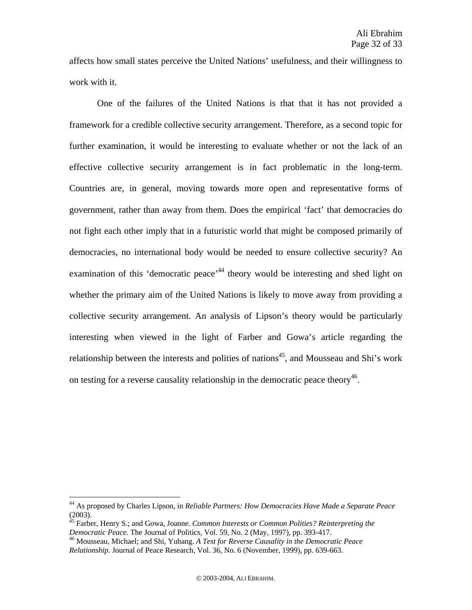affects how small states perceive the United Nations' usefulness, and their willingness to work with it.

One of the failures of the United Nations is that that it has not provided a framework for a credible collective security arrangement. Therefore, as a second topic for further examination, it would be interesting to evaluate whether or not the lack of an effective collective security arrangement is in fact problematic in the long-term. Countries are, in general, moving towards more open and representative forms of government, rather than away from them. Does the empirical 'fact' that democracies do not fight each other imply that in a futuristic world that might be composed primarily of democracies, no international body would be needed to ensure collective security? An examination of this 'democratic peace'<sup>44</sup> theory would be interesting and shed light on whether the primary aim of the United Nations is likely to move away from providing a collective security arrangement. An analysis of Lipson's theory would be particularly interesting when viewed in the light of Farber and Gowa's article regarding the relationship between the interests and polities of nations<sup>45</sup>, and Mousseau and Shi's work on testing for a reverse causality relationship in the democratic peace theory<sup>46</sup>.

<sup>44</sup> As proposed by Charles Lipson, in *Reliable Partners: How Democracies Have Made a Separate Peace*  (2003).

<sup>45</sup> Farber, Henry S.; and Gowa, Joanne. *Common Interests or Common Polities? Reinterpreting the Democratic Peace.* The Journal of Politics, Vol. 59, No. 2 (May, 1997), pp. 393-417.<br><sup>46</sup> Mousseau, Michael; and Shi, Yuhang. *A Test for Reverse Causality in the Democratic Peace* 

*Relationship.* Journal of Peace Research, Vol. 36, No. 6 (November, 1999), pp. 639-663.